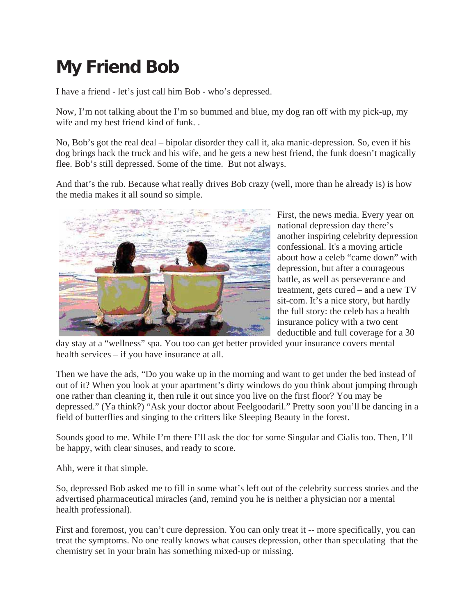## **My Friend Bob**

I have a friend - let's just call him Bob - who's depressed.

Now, I'm not talking about the I'm so bummed and blue, my dog ran off with my pick-up, my wife and my best friend kind of funk. .

No, Bob's got the real deal – bipolar disorder they call it, aka manic-depression. So, even if his dog brings back the truck and his wife, and he gets a new best friend, the funk doesn't magically flee. Bob's still depressed. Some of the time. But not always.

And that's the rub. Because what really drives Bob crazy (well, more than he already is) is how the media makes it all sound so simple.



First, the news media. Every year on national depression day there's another inspiring celebrity depression confessional. It's a moving article about how a celeb "came down" with depression, but after a courageous battle, as well as perseverance and treatment, gets cured – and a new TV sit-com. It's a nice story, but hardly the full story: the celeb has a health insurance policy with a two cent deductible and full coverage for a 30

day stay at a "wellness" spa. You too can get better provided your insurance covers mental health services – if you have insurance at all.

Then we have the ads, "Do you wake up in the morning and want to get under the bed instead of out of it? When you look at your apartment's dirty windows do you think about jumping through one rather than cleaning it, then rule it out since you live on the first floor? You may be depressed." (Ya think?) "Ask your doctor about Feelgoodaril." Pretty soon you'll be dancing in a field of butterflies and singing to the critters like Sleeping Beauty in the forest.

Sounds good to me. While I'm there I'll ask the doc for some Singular and Cialis too. Then, I'll be happy, with clear sinuses, and ready to score.

Ahh, were it that simple.

So, depressed Bob asked me to fill in some what's left out of the celebrity success stories and the advertised pharmaceutical miracles (and, remind you he is neither a physician nor a mental health professional).

First and foremost, you can't cure depression. You can only treat it -- more specifically, you can treat the symptoms. No one really knows what causes depression, other than speculating that the chemistry set in your brain has something mixed-up or missing.